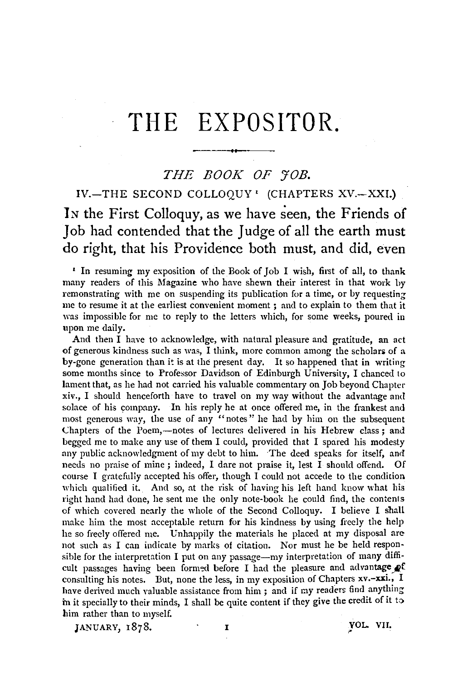# THE EXPOSITOR.

## *THE BOOK OF 'JOB.*

IV.-THE SECOND COLLOQUY' (CHAPTERS XV.-XXI.) In the First Colloquy, as we have seen, the Friends of Job had contended that the Judge of all the earth must do right, that his Providence both must, and did, even

' In resuming my exposition of the Book of Job I wish, first of all, to thank many readers of this Magazine who have shewn their interest in that work by remonstrating with me on suspending its publication for a time, or by requesting me to resume it at the earliest convenient moment *;* and to explain to them that it was impossible for me to reply to the letters which, for some weeks, poured in upon me daily.

And then I have to acknowledge, with natural pleasure and gratitude, an act of generous kindness such as was, I think, more common among the scholars of  $a$ by-gone generation than it is at the present day. It so happened that in writing some months since to Professor Davidson of Edinburgh University, I chanced to lament that, as he had not carried his valuable commentary on Job beyond Chapter xiv., I should henceforth· have to travel on my way without the advantage and solace of his company. In his reply he at once offered me, in the frankest and most generous way, the use of any "notes" he had by him on the subsequent Chapters of the Poem,—notes of lectures delivered in his Hebrew class: and begged me to make any use of them I could, provided that I spared his modesty any public acknowledgment of my debt to him. The deed speaks for itself, and needs no praise of mine ; indeed, I dare not praise it, lest I should offend. Of course I gratefully accepted his offer, though I could not accede to the condition which qualified it. And so, at the risk of having his left hand know what his right hand had done, he sent me the only note-book he could find, the contents of which covered nearly the whole of the Second Colloquy. I believe I shall make him the most acceptable return for his kindness by using freely the help he so freely offered me. Unhappily the materials he placed at my disposal are not such as I can indicate by marks of citation. Nor must he be held responsible for the interpretation I put on any passage-my interpretation of many difficult passages having been formed before I had the pleasure and advantage  $\mathcal{L}$ consulting his notes. But, none the less, in my exposition of Chapters xv.-xxi., I have derived much valuable assistance from him; and if my readers find anything in it specially to their minds, I shall be quite content if they give the credit of it to him rather than to myself.

JANUARY, 1878. I WOL. VII.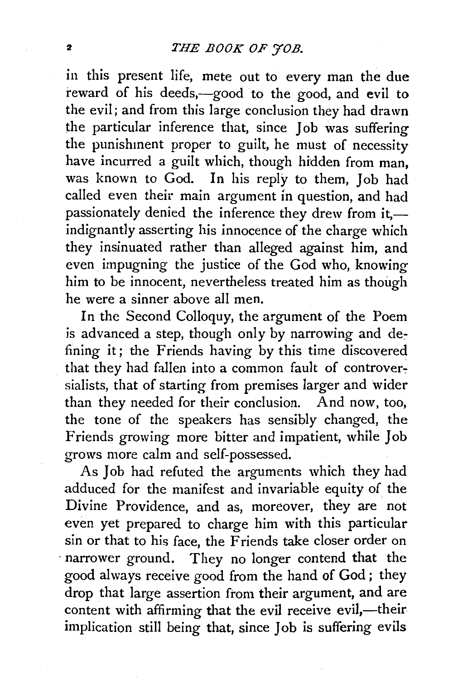in this present life, mete out to every man the due reward of his deeds,-good to the good, and evil to the evil; and from this large conclusion they had drawn the particular inference that, since Job was suffering the punishment proper to guilt, he must of necessity have incurred a guilt which, though hidden from man, was known to God. In his reply to them, Job had called even their main argument *in* question, and had passionately denied the inference they drew from it,indignantly asserting his innocence of the charge which they insinuated rather than alleged against him, and even impugning the justice of the God who, knowing him to be innocent, nevertheless treated him as though he were a sinner above all men.

In the Second Colloquy, the argument of the Poem is advanced a step, though only by narrowing and defining it; the Friends having by this time discovered that they had fallen into a common fault of controversialists, that of starting from premises larger and wider than they needed for their conclusion. And now, too, the tone of the speakers has sensibly changed, the Friends growing more bitter and impatient, while Joh grows more calm and self-possessed.

As Job had refuted the arguments which they had adduced for the manifest and invariable equity of the Divine Providence, and as, moreover, they are not even yet prepared to charge him with this particular sin or that to his face, the Friends take closer order on narrower ground. They no longer contend that the good always receive good from the hand of God; they drop that large assertion from their argument, and are content with affirming that the evil receive evil,-their implication still being that, since Job is suffering evils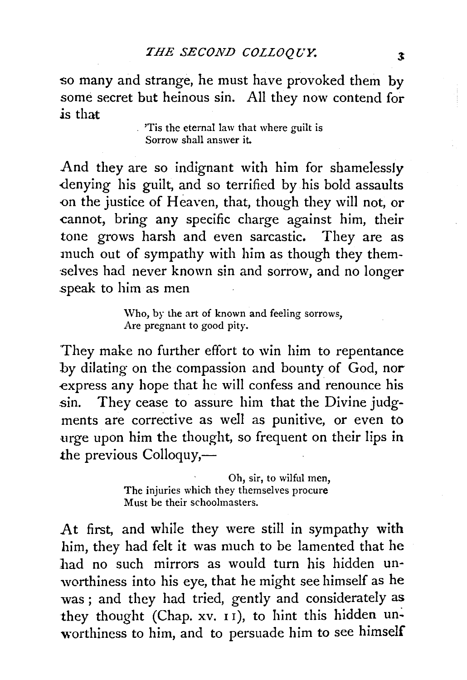so many and strange, he must have provoked them by some secret but heinous sin. All they now contend for is that

> 'Tis the eternal law that where guilt is Sorrow shall answer it.

And they are so indignant with him for shamelessly -denying his guilt, and so terrified by his bold assaults <>n the justice of Heaven, that, though they will not, or cannot, bring any specific charge against him, their tone grows harsh and even sarcastic. They are as much out of sympathy with him as though they themselves had never known sin and sorrow, and no longer .speak to him as men

> \Vho, by the art of known and feeling sorrows, Are pregnant to good pity.

They make no further effort to win him to repentance by dilating on the compassion and bounty of God, nor express any hope that he will confess and renounce his sin. They cease to assure him that the Divine judgments are corrective as well as punitive, or even to urge upon him the thought, so frequent on their lips in the previous Colloquy,—

> Oh, sir, to wilful men, The injuries which they themselves procure Must be their schoolmasters.

At first, and while they were still in sympathy with him, they had felt it was much to be lamented that he had no such mirrors as would turn his hidden unworthiness into his eye, that he might see himself as he was ; and they had tried, gently and considerately as they thought (Chap.  $xv$ .  $11$ ), to hint this hidden unworthiness to him, and to persuade him to see himself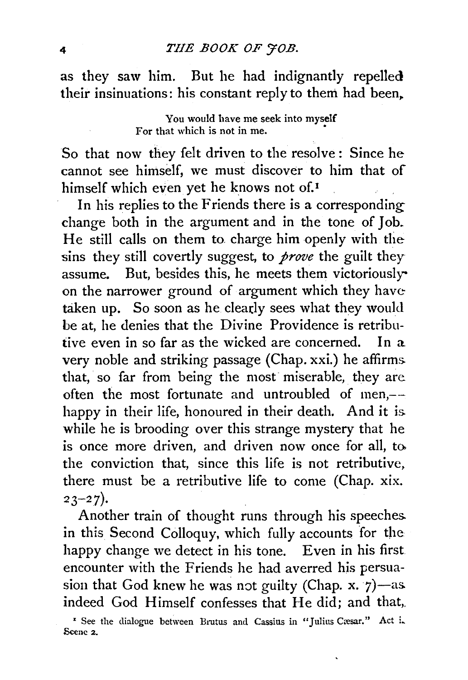as they saw him. But he had indignantly repelled their insinuations: his constant reply to them had been,.

> You would have me seek into myself For that which is not in me.

So that now they felt driven to the resolve: Since he cannot see himself, we must discover to him that of himself which even yet he knows not of.<sup>1</sup>

In his replies to the Friends there is a corresponding change both in the argument and in the tone of Job. He still calls on them to charge him openly with the sins they still covertly suggest, to *prove* the guilt they assume. But, besides this, he meets them victoriouslyon the narrower ground of argument which they have taken up. So soon as he clearly sees what they would be at, he denies that the Divine Providence is retributive even in so far as the wicked are concerned. In a very noble and striking passage (Chap. xxi.) he affirms. that, so far from being the most miserable, they are often the most fortunate and untroubled of men,- happy in their life, honoured in their death. And it is. while he is brooding over this strange mystery that he is once more driven, and driven now once for all, to the conviction that, since this life is not retributive, there must be a retributive life to come (Chap. xix.  $23 - 27$ ).

Another train of thought runs through his speeches. in this Second Colloquy, which fully accounts for the happy change we detect in his tone. Even in his first. encounter with the Friends he had averred his persuasion that God knew he was not guilty (Chap. x.  $7$ )-as. indeed God Himself confesses that He did; and that,

<sup>&#</sup>x27; See the dialogue between Brutus and Cassius in "Julius Cresar." Act i. Scene 2.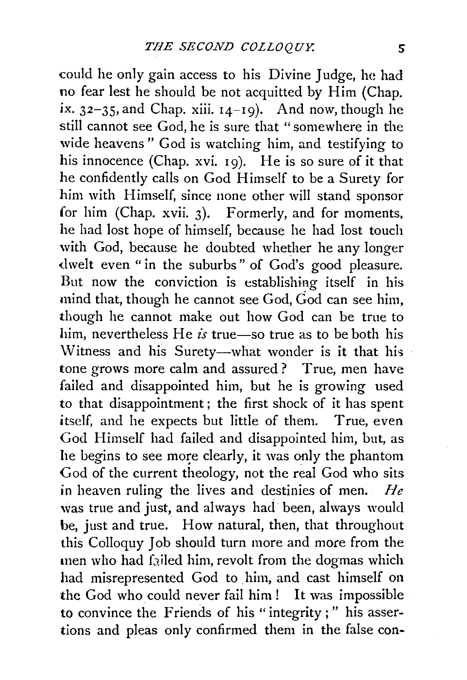could he only gain access to his Divine Judge, he had no fear lest he should be not acquitted by Him (Chap. ix.  $32-35$ , and Chap. xiii.  $14-19$ ). And now, though he still cannot see God, he is sure that "somewhere in the wide heavens" God is watching him, and testifying to his innocence (Chap. xvi. 19). He is so sure of it that he confidently calls on God Himself to be a Surety for him with Himself, since none other will stand sponsor for him (Chap. xvii. 3). Formerly, and for moments, he had lost hope of himself, because he had lost touch with God, because he doubted whether he any longer dwelt even "in the suburbs" of God's good pleasure. But now the conviction is establishing itself in his mind that, though he cannot see God, God can see him, though he cannot make out how God can be true to him, nevertheless He *is* true—so true as to be both his Witness and his Surety-what wonder is it that his tone grows more calm and assured? True, men have failed and disappointed him, but he is growing used to that disappointment; the first shock of it has spent itself, and he expects but little of them. True, even God Himself had failed and disappointed him, but, as he begins to see more clearly, it was only the phantom God of the current theology, not the real God who sits in heaven ruling the lives and destinies of men. *lie*  was true and just, and always had been, always would be, just and true. How natural, then, that throughout this Colloquy Job should turn more and more from the men who had failed him, revolt from the dogmas which had misrepresented God to him, and cast himself on the God who could never fail him! It was impossible to convince the Friends of his "integrity;" his assertions and pleas only confirmed them in the false con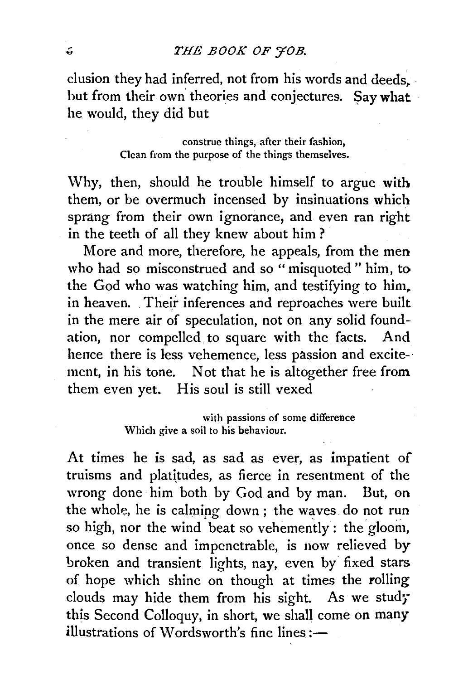elusion they had inferred, not from his words and deeds. but from their own theories and conjectures. Say what he would, they did but

> construe things, after their fashion, Clean from the purpose of the things themselves.

Why, then, should he trouble himself to argue with them, or be overmuch incensed by insinuations which sprang from their own ignorance, and even ran right in the teeth of all they knew about him ?

More and more, therefore, he appeals, from the men who had so misconstrued and so "misquoted" him, to the God who was watching him, and testifying to him, in heaven. . Their inferences and reproaches were built in the mere air of speculation, not on any solid foundation, nor compelled to square with the facts. And hence there is less vehemence, less passion and excitement, in his tone. Not that he is altogether free from them even yet. His soul is still vexed

> with passions of some difference Which give a soil to his behaviour.

At times he is sad, as sad as ever, as impatient of truisms and platitudes, as fierce in resentment of the wrong done him both by God and by man. But, on the whole, he is calming down; the waves do not run so high, nor the wind beat so vehemently : the gloom, once so dense and impenetrable, is now relieved by broken and transient lights, nay, even by fixed stars of hope which shine on though at times the rolling clouds may hide them from his sight. As we study this Second Colloquy, in short, we shall come on many illustrations of Wordsworth's fine lines:-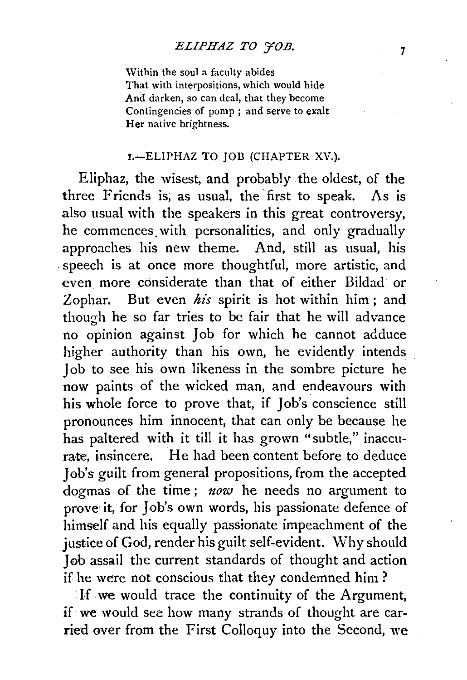Within the soul a faculty abides That with interpositions, which would hide And darken, so can deal, that they become Contingencies of pomp ; and serve to exalt Her native brightness.

#### 1.-ELIPHAZ TO JOB (CHAPTER XV.).

Eliphaz, the wisest, and probably the oldest, of the three Friends is, as usual, the first to speak. As is also usual with the speakers in this great controversy, he commences. with personalities, and only gradually approaches his new theme. And, still as usual, his . speech is at once more thoughtful, more artistic, and even more considerate than that of either Bildad or Zophar. But even *his* spirit is hot within him; and though he so far tries to be fair that he will advance no opinion against Job for which he cannot adduce higher authority than his own, he evidently intends Job to see his own likeness in the sombre picture he now paints of the wicked man, and endeavours with his whole force to prove that, if Job's conscience still pronounces him innocent, that can only be because he has paltered with it till it has grown "subtle," inaccurate, insincere. He had been content before to deduce Job's guilt from general propositions, from the accepted dogmas. of the time ; *now* he needs no argument to prove it, for Job's own words, his passionate defence of himself and his equally passionate impeachment of the justice of God, render his guilt self-evident. Why should Job assail the current standards of thought and action if he were not conscious that they condemned him ?

.If. we would trace the continuity of the Argument, if we would see how many strands of thought are carried over from the First Colloquy into the Second, we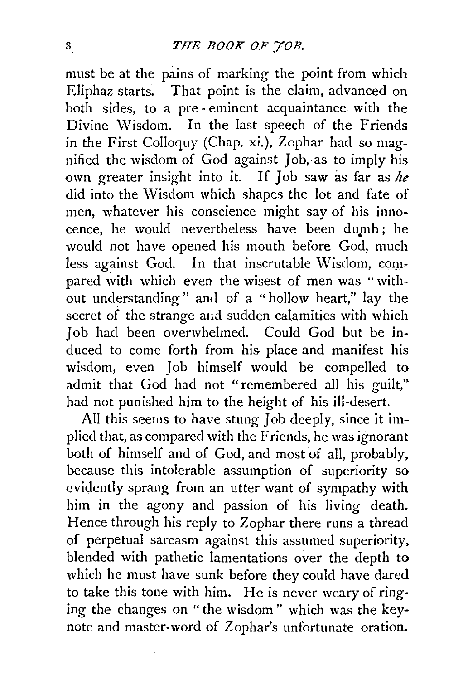must be at the pains of marking the point from which Eliphaz starts. That point is the claim, advanced on both sides, to a pre-eminent acquaintance with the Divine Wisdom. In the last speech of the Friends in the First Colloquy (Chap. xi.), Zophar had so magnified the wisdom of God against Job, as to imply his own greater insight into it. If Job saw as far as *he*  did into the Wisdom which shapes the lot and fate of men, whatever his conscience might say of his innocence, he would nevertheless have been dumb; he would not have opened his mouth before God, much less against God. In that inscrutable Wisdom, compared with which even the wisest of men was "without understanding" and of a "hollow heart," lay the secret of the strange and sudden calamities with which Job had been overwhelmed. Could God but be induced to come forth from his place and manifest his wisdom, even Job himself would be compelled to admit that God had not "remembered all his guilt," had not punished him to the height of his ill-desert.

All this seerns to have stung Job deeply, since it implied that, as compared with the Friends, he was ignorant both of himself and of God, and most of all, probably, because this intolerable assumption of superiority so evidently sprang from an utter want of sympathy with him in the agony and passion of his living death. Hence through his reply to Zophar there runs a thread of perpetual sarcasm against this assumed superiority, blended with pathetic lamentations over the depth to which he must have sunk before they could have dared to take this tone with him. He is never weary of ringing the changes on "the wisdom" which was the keynote and master-word of Zophar's unfortunate oration.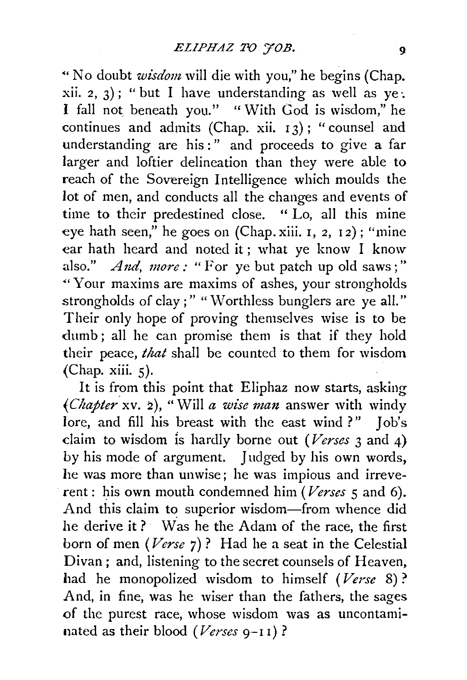"'No doubt *wisdom* will die with you," he begins (Chap. xii. 2, 3); "but I have understanding as well as  $ye$ . I fall not, beneath you." "With God is wisdom," he continues and admits (Chap. xii.  $13$ ); "counsel and understanding are his : " and proceeds to give a far larger and loftier delineation than they were able to reach of the Sovereign Intelligence which moulds the lot of men, and conducts all the changes and events of time to their predestined close. " Lo, all this mine eye hath seen," he goes on (Chap.xiii. I, 2, 12); "mine ear hath heard and noted it ; what ye know I know also."  $And, more: "For ye but patch up old saws;"$ "'Your maxims are maxims of ashes, your strongholds strongholds of clay;" "Worthless bunglers are ye all." Their only hope of proving themselves wise is to be dumb ; all he can promise them is that if they hold their peace, *that* shall be counted to them for wisdom (Chap. xiii. 5).

It is from this point that Eliphaz now starts, asking *(Chapter xv. 2),* "Will *a wise man answer with windy* lore, and fill his breast with the east wind ?" Job's claim to wisdom Is hardly borne out *(Verses* 3 and 4) by his mode of argument. Judged by his own words, he was more than unwise; he was impious and irreverent : his own mouth condemned him *(Verses* 5 and 6). And this claim to superior wisdom-from whence did he derive it ? Was he the Adam of the race, the first born of men *(Verse* 7)? Had he a seat in the Celestial Divan; and, listening to the secret counsels of Heaven, had he monopolized wisdom to himself (Verse 8)? And, in fine, was he wiser than the fathers, the sages of the purest race, whose wisdom was as uncontaminated as their blood *(Verses* 9-II)?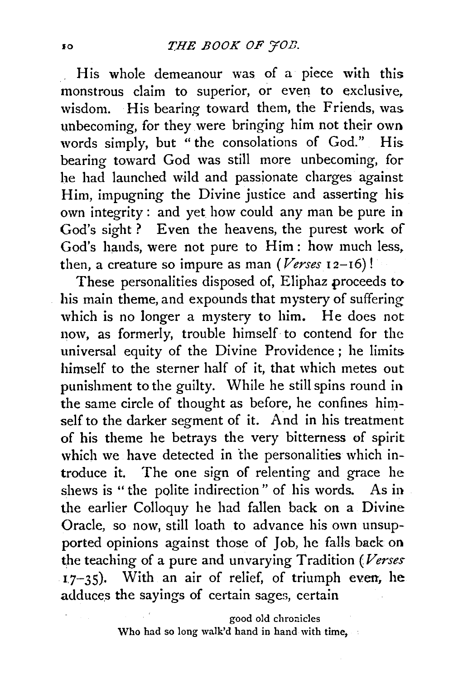His whole demeanour was of a piece with this monstrous claim to superior, or even to exclusive. wisdom. His bearing toward them, the Friends, was. unbecoming, for they were bringing him not their own words simply, but "the consolations of God." His bearing toward God was still more unbecoming, for he had launched wild and passionate charges against Him, impugning the Divine justice and asserting his own integrity : and yet how could any man be pure in God's sight? Even the heavens, the purest work of God's hands, were not pure to Him: how much less. then, a creature so impure as man  $\left( {\textit{Verses 12--16}} \right)!$ 

These personalities disposed of, Eliphaz proceeds to his main theme, and expounds that mystery of suffering which is no longer a mystery to him. He does not now, as formerly, trouble himself to contend for the universal equity of the Divine Providence ; he limits. himself to the sterner half of it, that which metes out punishment to the guilty. While he still spins round in the same circle of thought as before, he confines himself to the darker segment of it. And in his treatment of his theme he betrays the very bitterness of spirit which we have detected in the personalities which introduce it. The one sign of relenting and grace he shews is " the polite indirection" of his words. As in the earlier Colloquy he had fallen back on a Divine Oracle, so now, still loath to advance his own unsupported opinions against those of Job, he falls. back on the teaching of a pure and unvarying Tradition *(Verses*   $17-35$ ). With an air of relief, of triumph even, he adduces the sayings of certain sages, certain

> good old chronicles Who had so long walk'd hand in hand with time,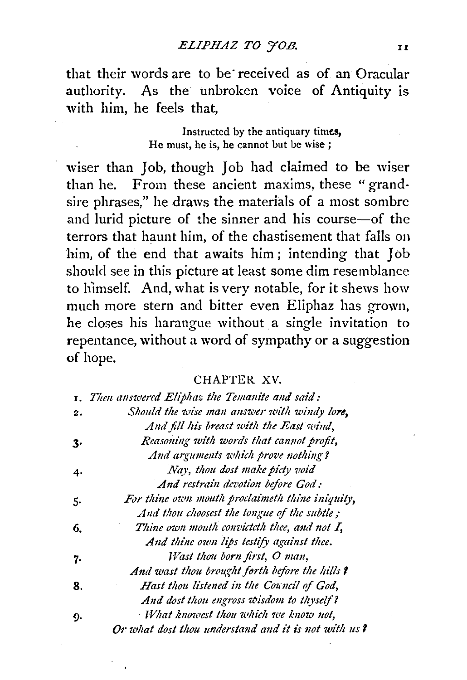that their words are to be received as of an Oracular authority. As the unbroken voice of Antiquity is with him, he feels that,

> Instructed by the antiquary times, He must, he is, he cannot but be wise ;

wiser than Job, though Job had claimed to be wiser than he. From these ancient maxims, these "grandsire phrases," he draws the materials of a most sombre and lurid picture of the sinner and his course-of the terrors that haunt him, of the chastisement that falls on him, of the end that awaits him; intending that Job should see in this picture at least some dim resemblance to himself. And, what is very notable, for it shews how much more stern and bitter even Eliphaz has grown, he closes his harangue without a single invitation to repentance, without a word of sympathy or a suggestion of hope.

#### CHAPTER XV.

|    | 1. Then answered Eliphaz the Temanite and said:     |
|----|-----------------------------------------------------|
| 2. | Should the wise man answer with windy lore,         |
|    | And fill his breast with the East wind.             |
| 3. | Reasoning with words that cannot profit,            |
|    | And arguments which prove nothing?                  |
| 4. | Nay, thou dost make piety void                      |
|    | And restrain devotion before God:                   |
| 5. | For thine own mouth proclaimeth thine iniquity,     |
|    | And thou choosest the tongue of the subtle;         |
| 6. | Thine own mouth convicteth thee, and not I,         |
|    | And thine own lips testify against thee.            |
| 7. | Wast thou born first, O man,                        |
|    | And wast thou brought forth before the hills ?      |
| 8. | Hast thou listened in the Council of God.           |
|    | And dost thou engross wisdom to thyself?            |
| ŋ. | What knowest thou which we know not,                |
|    | Or what dost thou understand and it is not with us? |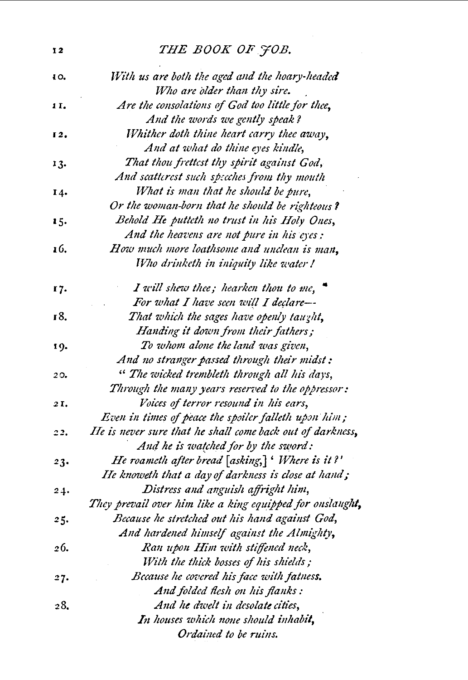# 12 THE BOOK OF JOB.

| 10.  | With us are both the aged and the hoary-headed<br>Who are older than thy sire. |
|------|--------------------------------------------------------------------------------|
| 1 I. | Are the consolations of God too little for thee,                               |
|      | And the words we gently speak?                                                 |
| 12.  | Whither doth thine heart carry thee away,                                      |
|      | And at what do thine eyes kindle,                                              |
|      | That thou frettest thy spirit against God,                                     |
| 13.  | And scatterest such specches from thy mouth                                    |
|      | What is man that he should be pure,                                            |
| 14.  | Or the woman-born that he should be righteous?                                 |
|      | Behold He putteth no trust in his Holy Ones,                                   |
| 15.  | And the heavens are not pure in his eyes:                                      |
| 16.  | How much more loathsome and unclean is man,                                    |
|      | Who drinketh in iniquity like water !                                          |
|      |                                                                                |
| 17.  | I will shew thee; hearken thou to me,                                          |
|      | For what I have seen will I declare-                                           |
| 18.  | That which the sages have openly taught,                                       |
|      | Handing it down from their fathers;                                            |
| 19.  | To whom alone the land was given,                                              |
|      | And no stranger passed through their midst:                                    |
| 20.  | " The wicked trembleth through all his days,                                   |
|      | Through the many years reserved to the oppressor:                              |
| 2I.  | Voices of terror resound in his ears,                                          |
|      | Even in times of peace the spoiler falleth upon him;                           |
| 22,  | He is never sure that he shall come back out of darkness,                      |
|      | And he is watched for by the sword:                                            |
| 23.  | He roameth after bread $[asking]$ 'Where is it?'                               |
|      | He knoweth that a day of darkness is close at hand;                            |
| 24.  | Distress and anguish affright him,                                             |
|      | They prevail over him like a king equipped for onslaught,                      |
| 25.  | Because he stretched out his hand against God,                                 |
|      | And hardened himself against the Almighty,                                     |
| 26.  | Ran upon Him with stiffened neck,                                              |
|      | With the thick bosses of his shields;                                          |
| 27.  | Because he covered his face with fatness.                                      |
|      | And folded flesh on his flanks:                                                |
| 28.  | And he dwelt in desolate cities,                                               |
|      | In houses which none should inhabit,                                           |
|      | Ordained to be ruins.                                                          |
|      |                                                                                |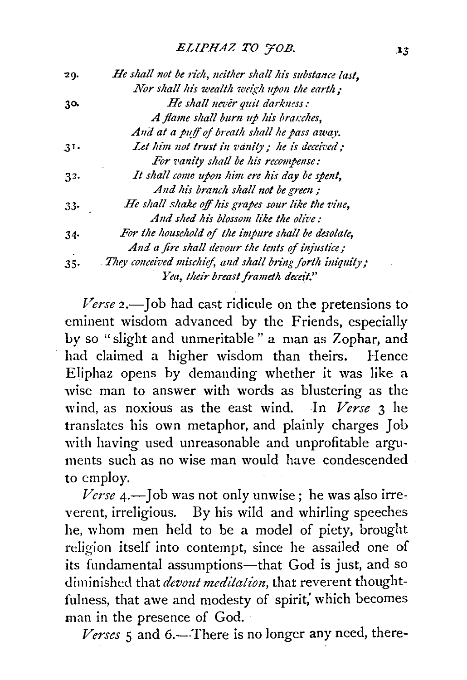| He shall not be rich, neither shall his substance last,  |
|----------------------------------------------------------|
| Nor shall his wealth weigh upon the earth;               |
| He shall never quit darkness:                            |
| A flame shall burn up his branches,                      |
| And at a puff of breath shall he pass away.              |
| Let him not trust in vanity; he is deceived;             |
| For vanity shall be his recompense:                      |
| It shall come upon him ere his day be spent,             |
| And his branch shall not be green;                       |
| He shall shake off his grapes sour like the vine,        |
| And shed his blossom like the olive:                     |
| For the household of the impure shall be desolate,       |
| And a fire shall devour the tents of injustice;          |
| They conceived mischief, and shall bring forth iniquity; |
| Yea, their breast frameth deceit."                       |
|                                                          |

*Verse 2.-]ob* had cast ridicule on the pretensions to eminent wisdom advanced by the Friends, especially by so "slight and unmeritable" a man as Zophar, and had claimed a higher wisdom than theirs. Hence Eliphaz opens by demanding whether it was like a wise man to answer with words as blustering as the wind, as noxious as the east wind. In *Verse* 3 he translates his own metaphor, and plainly charges Job with having used unreasonable and unprofitable arguments such as no wise man would have condescended to employ.

*Verse 4.-]ob* was not only unwise; he was also irreverent, irreligious. By his wild and whirling speeches he, whom men held to be a model of piety, brought religion itself into contempt, since he assailed one of its fundamental assumptions-that God is just, and so diminished that *devout meditation*, that reverent thoughtfulness, that awe and modesty of spirit, which becomes man in the presence of God.

 $\zeta$  *and*  $\zeta$ *. There is no longer any need, there-*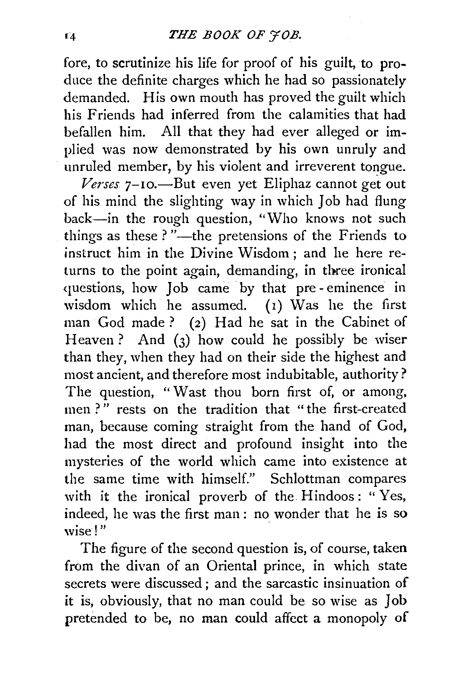fore, to scrutinize his life for proof of his guilt, to produce the definite charges which he had so passionately demanded. His own mouth has proved the guilt which his Friends had inferred from the calamities that had befallen him. All that they had ever alleged or implied was now demonstrated by his own unruly and unruled member, by his violent and irreverent tongue.

Verses 7-10.<sup>-</sup>But even yet Eliphaz cannot get out of his mind the slighting way in which Job had flung back-in the rough question, "Who knows not such things as these ? "---the pretensions of the Friends to instruct him in the Divine Wisdom ; and he here returns to the point again, demanding, in three ironical questions, how Job came by that pre- eminence in wisdom which he assumed.  $(1)$  Was he the first man God made? (2) Had he sat in the Cabinet of Heaven? And  $(3)$  how could he possibly be wiser than they, when they had on their side the highest and most ancient, and therefore most indubitable, authority? The question, "Wast thou born first of, or among, men?" rests on the tradition that "the first-created man, because coming straight from the hand of God, had the most direct and profound insight into the mysteries of the world which came into existence at the same time with himself." Schlottman compares with it the ironical proverb of the Hindoos: " $Yes.$ indeed, he was the first man : no wonder that he is so wise!"

The figure of the second question is, of course, taken from the divan of an Oriental prince, in which state secrets were discussed ; and the sarcastic insinuation of it is, obviously, that no man could be so wise as Job pretended to be, no man could affect a monopoly of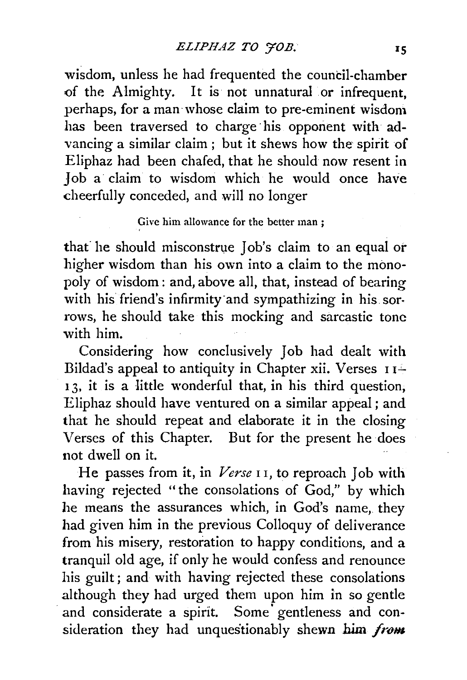wisdom, unless he had frequented the council-chamber of the Almighty. It is not unnatural or infrequent, perhaps, for a man· whose claim to pre-eminent wisdom has been traversed to charge his opponent with advancing a similar claim; but it shews how the spirit of Eliphaz had been chafed, that he should now resent in Job a claim to wisdom which he would once have cheerfully conceded, and will no longer

#### Give him allowance for the better man ;

that he should misconstrue Job's claim to an equal or higher wisdom than his own into a claim to the monopoly of wisdom : and, above all, that, instead of bearing with his friend's infirmity and sympathizing in his sorrows, he should take this mocking and sarcastic tone with him.

Considering how conclusively Job had dealt with Bildad's appeal to antiquity in Chapter xii. Verses  $11^{\frac{1}{2}}$ 13, it is a little wonderful that, in his third question, Eliphaz should have ventured on a similar appeal ; and that he should repeat and elaborate it in the closing Verses of this Chapter. But for the present he does not dwell on it.

He passes from it, in *Verse* I I, to reproach Job with having rejected "the consolations of God," by which he means the assurances which, in God's name, they had given him in the previous Colloquy of deliverance from his misery, restoration to happy conditions, and a tranquil old age, if only he would confess and renounce his guilt; and with having rejected these consolations although they had urged them upon him in so gentle and considerate a spirit. Some gentleness and consideration they had unquestionably shewn him *from*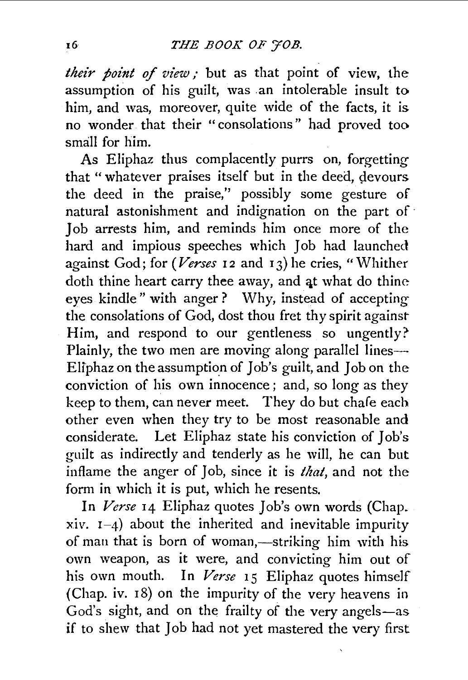*their point of view;* but as that point of view, the assumption of his guilt, was .an intolerable insult to him, and was, moreover, quite wide of the facts, it is no wonder that their " consolations" had proved too sma]l for him.

As Eliphaz thus complacently purrs on, forgetting that "whatever praises itself but in the deed, devours the deed in the praise,'' possibly some gesture of natural astonishment and indignation on the part of · Job arrests him, and reminds him once more of the hard and impious speeches which Job had launched against God; for *(Verses* 12 and 13) he cries, "Whither doth thine heart carry thee away, and at what do thine eyes kindle" with anger? Why, instead of accepting the consolations of God, dost thou fret thy spirit against Him, and respond to our gentleness so ungently? Plainly, the two men are moving along parallel lines-Eliphaz on the assumption of Job's guilt, and Job on the conviction of his own innocence; and, so long as they keep to them, can never meet. They do but chafe each other even when they try to be most reasonable and considerate. Let Eliphaz state his conviction of Job's guilt as indirectly and tenderly as he will, he can but inflame the anger of Job, since it is *that,* and not the form in which it is put, which he resents.

In *Verse* I4 Eliphaz quotes Job's own words (Chap. xiv.  $I-4$ ) about the inherited and inevitable impurity of man that is born of woman,-striking him with his own weapon, as it were, and convicting him out of his own mouth. In *Verse* 15 Eliphaz quotes himself (Chap. iv. I8) on the impurity of the very heavens in God's sight, and on the frailty of the very angels-as if to shew that Job had not yet mastered the very first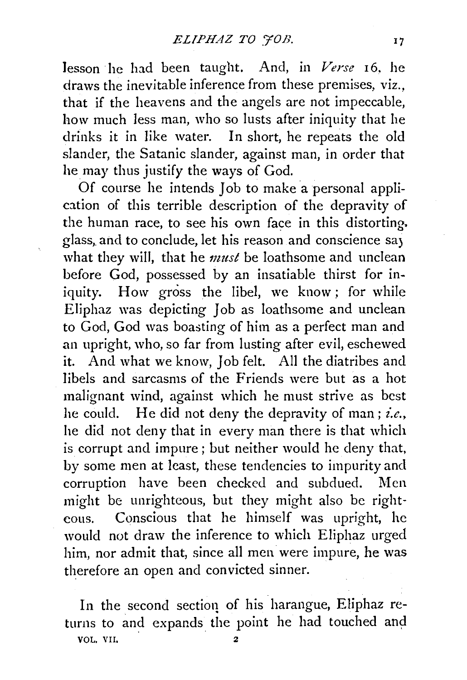lesson he had been taught. And, in Verse 16. he draws the inevitable inference from these premises, viz., that if the heavens and the angels are not impeccable, how much less man, who so lusts after iniquity that he drinks it in like water. In short, he repeats the old slander, the Satanic slander, against man, in order that he may thus justify the ways of God.

Of course he intends Job to make a personal application of this terrible description of the depravity of the human race, to see his own face in this distorting. glass, and to conclude, let his reason and conscience say what they will, that he *must* be loathsome and unclean before God, possessed by an insatiable thirst for iniquity. How gross the libel, we know; for while Eliphaz was depicting Job as loathsome and unclean to God, God was boasting of him as a perfect man and an upright, who, so far from lusting after evil, eschewed it. And what we know, Job felt. All the diatribes and libels and sarcasms of the Friends were but as a hot malignant wind, against which he must strive as best he could. He did not deny the depravity of man; *i.e.*, he did not deny that in every man there is that which is corrupt and impure; but neither would he deny that, by some men at least, these tendencies to impurity and corruption have been checked and subdued. Men might be unrighteous, but they might also be righteous. Conscious that he himself was upright, he would not draw the inference to which Eliphaz urged him, nor admit that, since all men were impure, he was therefore an open and convicted sinner.

In the second sectioq of his harangue, Eliphaz returns to and expands the point he had touched and VOL. VII. 2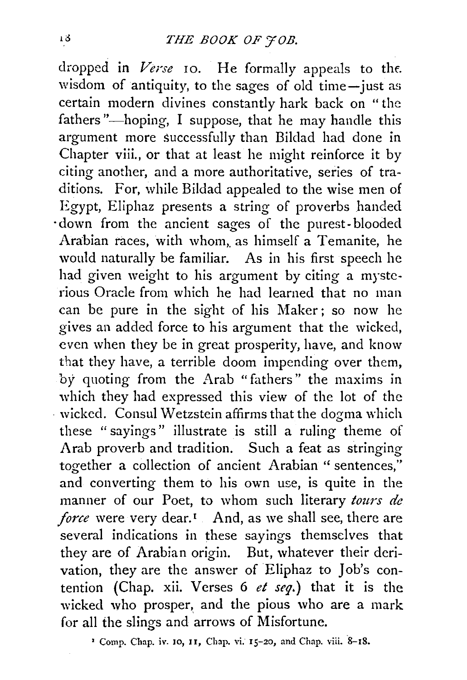dropped in *Verse* 10. He formally appeals to the. wisdom of antiquity, to the sages of old time-just as certain modern divines constantly hark back on "the fathers"—hoping, I suppose, that he may handle this argument more successfully than Bildad had done in Chapter viii., or that at least he might reinforce it by citing another, and a more authoritative, series of traditions. For, while Bildad appealed to the wise men of Egypt, Eliphaz presents a string of proverbs handed ·down from the ancient sages of the purest- blooded Arabian races, with whom, as himself a Temanite, he would naturally be familiar. As in his first speech he had given weight to his argument by citing a mysterious Oracle from which he had learned that no man can be pure in the sight of his Maker; so now he gives an added force to his argument that the wicked, even when they be in great prosperity, have, and know that they have, a terrible doom impending over them, by quoting from the Arab "fathers" the maxims in which they had expressed this view of the lot of the · wicked. Consul Wetzstein affirms that the dogma \vhich these " sayings" illustrate is still a ruling theme of Arab proverb and tradition. Such a feat as stringing together a collection of ancient Arabian '' sentences," and converting them to his own use, is quite in the manner of our Poet, to whom such literary *tours de force* were very dear.<sup>1</sup> And, as we shall see, there are several indications in these sayings themselves that they are of Arabian origin. But, whatever their derivation, they are the answer of Eliphaz to Job's contention (Chap. xii. Verses 6 *et seq.)* that it is the wicked who prosper, and the pious who are a mark for all the slings and arrows of Misfortune.

<sup>2</sup> Comp. Chap. iv. 10, 11, Chap. vi. 15-20, and Chap. viii. 8-18.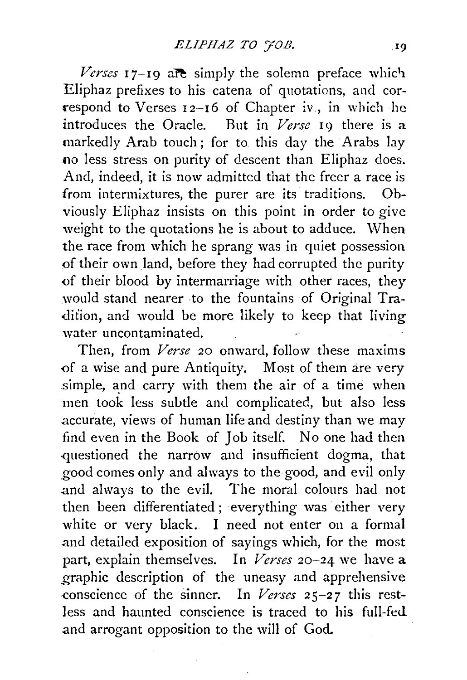*Verses*  $17$ -19 are simply the solemn preface which Eliphaz prefixes to his catena of quotations, and correspond to Verses 12-16 of Chapter iv., in which he introduces the Oracle. But in *Verse* 19 there is a markedly Arab touch; for to this day the Arabs lay no less stress on purity of descent than Eliphaz does. And, indeed, it is now admitted that the freer a race is from intermixtures, the purer are its traditions. Obviously Eliphaz insists on this point in order to give weight to the quotations he is about to adduce. When the race from which he sprang was in quiet possession of their own land, before they had corrupted the purity of their blood by intermarriage with other races, they would stand nearer to the fountains of Original Tradition, and would be more likely to keep that living water uncontaminated.

Then, from *Verse* 20 onward, follow these maxims of a wise and pure Antiquity. Most of them are very simple, and carry with them the air of a time when men took less subtle and complicated, but also less .accurate, views of human life and destiny than we may find even in the Book of Job itself. No one had then questioned the narrow and insufficient dogma, that \_good comes only and always to the good, and evil only and always to the evil. The moral colours had not then been differentiated ; everything was either very white or very black. I need not enter on a formal -and detailed exposition of sayings which, for the most part, explain themselves. In *Verses* 20-24 we have a \_graphic description of the uneasy and apprehensive -conscience of the sinner. In *Verses* 25-27 this restless and haunted conscience is traced to his full-fed and arrogant opposition to the will of God.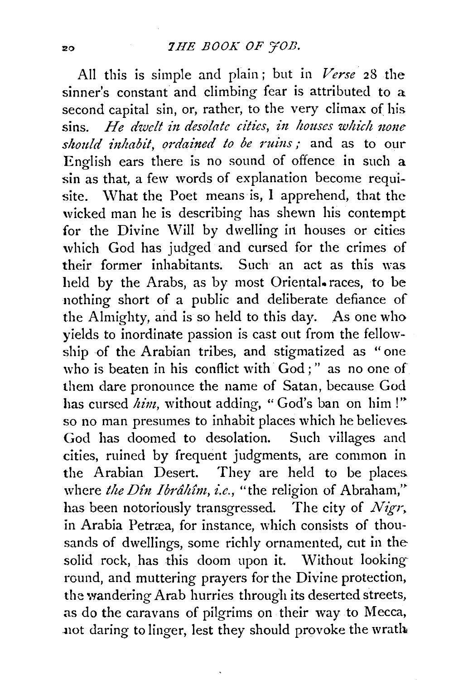All this is simple and plain; but in *Verse* 28 the sinner's constant and climbing fear is attributed to a second capital sin, or, rather, to the very climax of his sins. He dwelt in desolate cities, in houses which none *should inhabit, ordained to be ruins;* and as to our English ears there is no sound of offence in such a sin as that, a few words of explanation become requisite. What the Poet means is, I apprehend, that the wicked man he is describing has shewn his contempt for the Divine Will by dwelling in houses or cities which God has judged and cursed for the crimes of their former inhabitants. Such an act as this was held by the Arabs, as by most Oriental. races, to be nothing short of a public and deliberate defiance of the Almighty, and is so held to this day. As one who yields to inordinate passion is cast out from the fellowship of the Arabian tribes, and stigmatized as "one who is beaten in his conflict with God;" as no one of them dare pronounce the name of Satan, because God has cursed *him*, without adding, "God's ban on him!" so no man presumes to inhabit places which he believes God has doomed to desolation. Such villages and cities, ruined by frequent judgments, are common in the Arabian Desert. They are held to be places. where the Din Ibrâhîm, i.e., "the religion of Abraham," has been notoriously transgressed. The city of *Nigr.*  in Arabia Petræa, for instance, which consists of thousands of dwellings, some richly ornamented, cut in the solid rock, has this doom upon it. Without lookinground, and muttering prayers for the Divine protection, the wandering Arab hurries through its deserted streets, as do the caravans of pilgrims on their way to Mecca, not daring to linger, lest they should provoke the wratb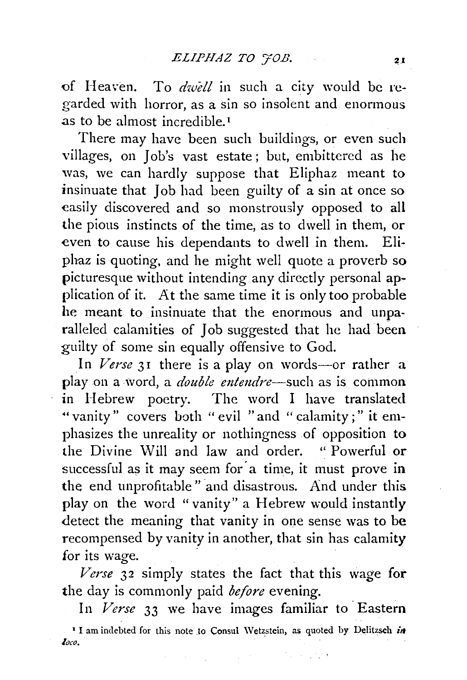of Heaven. To *dwell* in such a city would be regarded with horror, as a sin so insolent and enormous as to be almost incredible.<sup>1</sup>

There may have been such buildings, or even such villages, on Job's vast estate ; but, embittered as he was, we can hardly suppose that Eliphaz meant to insinuate that Job had been guilty of a sin at once so easily discovered and so monstrously opposed to all the pious instincts of the time, as to dwell in them, or even to cause his dependants to dwell in them. Eliphaz is quoting, and he might well quote a proverb so picturesque without intending any directly personal application of it. At the same time it is only too probable he meant to insinuate that the enormous and unparalleled calamities of Job suggested that he had been guilty of *some* sin equally offensive to God.

In *Verse* 31 there is a play on words-or rather a play on a word, a *double entendre*—such as is common in Hebrew poetry. The word I have translated •• vanity" covers both " evil "and " calamity ; " it emphasizes the unreality or nothingness of opposition to the Divine Will and law and order. " Powerful or successful as it may seem for a time, it must prove in the end unprofitable" and disastrous. And under this play on the word "vanity" a Hebrew would instantly detect the meaning that vanity in one sense was to be recompensed by vanity in another, that sin has calamity for its wage.

*Verse* 32 simply states the fact that this wage for the day is commonly paid *before* evening.

In *Verse* 33 we have images familiar to Eastern <sup>1</sup> I am indebted for this note to Consul Wetzstein, as quoted by Delitzsch in *loco.* .

provided the control